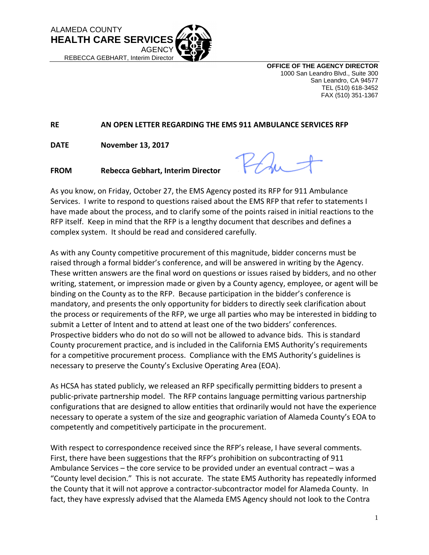

**OFFICE OF THE AGENCY DIRECTOR** 1000 San Leandro Blvd., Suite 300 San Leandro, CA 94577 TEL (510) 618-3452 FAX (510) 351-1367

## **RE AN OPEN LETTER REGARDING THE EMS 911 AMBULANCE SERVICES RFP**

**DATE November 13, 2017**

 $2/4.$ 

**FROM Rebecca Gebhart, Interim Director**

As you know, on Friday, October 27, the EMS Agency posted its RFP for 911 Ambulance Services. I write to respond to questions raised about the EMS RFP that refer to statements I have made about the process, and to clarify some of the points raised in initial reactions to the RFP itself. Keep in mind that the RFP is a lengthy document that describes and defines a complex system. It should be read and considered carefully.

As with any County competitive procurement of this magnitude, bidder concerns must be raised through a formal bidder's conference, and will be answered in writing by the Agency. These written answers are the final word on questions or issues raised by bidders, and no other writing, statement, or impression made or given by a County agency, employee, or agent will be binding on the County as to the RFP. Because participation in the bidder's conference is mandatory, and presents the only opportunity for bidders to directly seek clarification about the process or requirements of the RFP, we urge all parties who may be interested in bidding to submit a Letter of Intent and to attend at least one of the two bidders' conferences. Prospective bidders who do not do so will not be allowed to advance bids. This is standard County procurement practice, and is included in the California EMS Authority's requirements for a competitive procurement process. Compliance with the EMS Authority's guidelines is necessary to preserve the County's Exclusive Operating Area (EOA).

As HCSA has stated publicly, we released an RFP specifically permitting bidders to present a public-private partnership model. The RFP contains language permitting various partnership configurations that are designed to allow entities that ordinarily would not have the experience necessary to operate a system of the size and geographic variation of Alameda County's EOA to competently and competitively participate in the procurement.

With respect to correspondence received since the RFP's release, I have several comments. First, there have been suggestions that the RFP's prohibition on subcontracting of 911 Ambulance Services – the core service to be provided under an eventual contract – was a "County level decision." This is not accurate. The state EMS Authority has repeatedly informed the County that it will not approve a contractor-subcontractor model for Alameda County. In fact, they have expressly advised that the Alameda EMS Agency should not look to the Contra